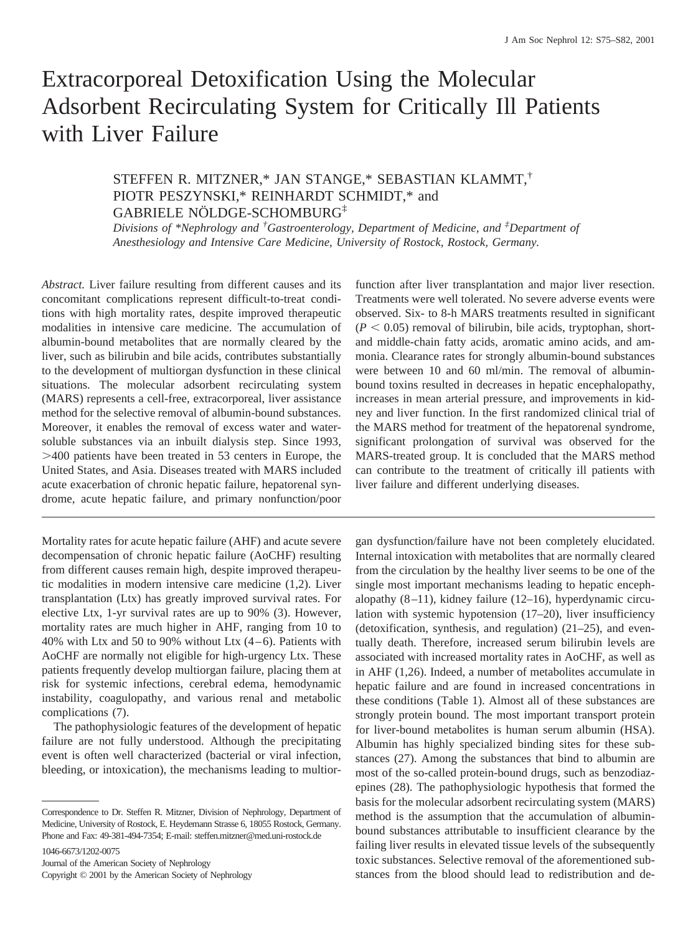# Extracorporeal Detoxification Using the Molecular Adsorbent Recirculating System for Critically Ill Patients with Liver Failure

# STEFFEN R. MITZNER,\* JAN STANGE,\* SEBASTIAN KLAMMT,† PIOTR PESZYNSKI,\* REINHARDT SCHMIDT,\* and GABRIELE NÖLDGE-SCHOMBURG‡

*Divisions of \*Nephrology and † Gastroenterology, Department of Medicine, and ‡ Department of Anesthesiology and Intensive Care Medicine, University of Rostock, Rostock, Germany.*

*Abstract.* Liver failure resulting from different causes and its concomitant complications represent difficult-to-treat conditions with high mortality rates, despite improved therapeutic modalities in intensive care medicine. The accumulation of albumin-bound metabolites that are normally cleared by the liver, such as bilirubin and bile acids, contributes substantially to the development of multiorgan dysfunction in these clinical situations. The molecular adsorbent recirculating system (MARS) represents a cell-free, extracorporeal, liver assistance method for the selective removal of albumin-bound substances. Moreover, it enables the removal of excess water and watersoluble substances via an inbuilt dialysis step. Since 1993, .400 patients have been treated in 53 centers in Europe, the United States, and Asia. Diseases treated with MARS included acute exacerbation of chronic hepatic failure, hepatorenal syndrome, acute hepatic failure, and primary nonfunction/poor

Mortality rates for acute hepatic failure (AHF) and acute severe decompensation of chronic hepatic failure (AoCHF) resulting from different causes remain high, despite improved therapeutic modalities in modern intensive care medicine (1,2). Liver transplantation (Ltx) has greatly improved survival rates. For elective Ltx, 1-yr survival rates are up to 90% (3). However, mortality rates are much higher in AHF, ranging from 10 to 40% with Ltx and 50 to 90% without Ltx  $(4-6)$ . Patients with AoCHF are normally not eligible for high-urgency Ltx. These patients frequently develop multiorgan failure, placing them at risk for systemic infections, cerebral edema, hemodynamic instability, coagulopathy, and various renal and metabolic complications (7).

The pathophysiologic features of the development of hepatic failure are not fully understood. Although the precipitating event is often well characterized (bacterial or viral infection, bleeding, or intoxication), the mechanisms leading to multior-

1046-6673/1202-0075

Journal of the American Society of Nephrology Copyright © 2001 by the American Society of Nephrology function after liver transplantation and major liver resection. Treatments were well tolerated. No severe adverse events were observed. Six- to 8-h MARS treatments resulted in significant  $(P < 0.05)$  removal of bilirubin, bile acids, tryptophan, shortand middle-chain fatty acids, aromatic amino acids, and ammonia. Clearance rates for strongly albumin-bound substances were between 10 and 60 ml/min. The removal of albuminbound toxins resulted in decreases in hepatic encephalopathy, increases in mean arterial pressure, and improvements in kidney and liver function. In the first randomized clinical trial of the MARS method for treatment of the hepatorenal syndrome, significant prolongation of survival was observed for the MARS-treated group. It is concluded that the MARS method can contribute to the treatment of critically ill patients with liver failure and different underlying diseases.

gan dysfunction/failure have not been completely elucidated. Internal intoxication with metabolites that are normally cleared from the circulation by the healthy liver seems to be one of the single most important mechanisms leading to hepatic encephalopathy (8–11), kidney failure (12–16), hyperdynamic circulation with systemic hypotension (17–20), liver insufficiency (detoxification, synthesis, and regulation) (21–25), and eventually death. Therefore, increased serum bilirubin levels are associated with increased mortality rates in AoCHF, as well as in AHF (1,26). Indeed, a number of metabolites accumulate in hepatic failure and are found in increased concentrations in these conditions (Table 1). Almost all of these substances are strongly protein bound. The most important transport protein for liver-bound metabolites is human serum albumin (HSA). Albumin has highly specialized binding sites for these substances (27). Among the substances that bind to albumin are most of the so-called protein-bound drugs, such as benzodiazepines (28). The pathophysiologic hypothesis that formed the basis for the molecular adsorbent recirculating system (MARS) method is the assumption that the accumulation of albuminbound substances attributable to insufficient clearance by the failing liver results in elevated tissue levels of the subsequently toxic substances. Selective removal of the aforementioned substances from the blood should lead to redistribution and de-

Correspondence to Dr. Steffen R. Mitzner, Division of Nephrology, Department of Medicine, University of Rostock, E. Heydemann Strasse 6, 18055 Rostock, Germany. Phone and Fax: 49-381-494-7354; E-mail: steffen.mitzner@med.uni-rostock.de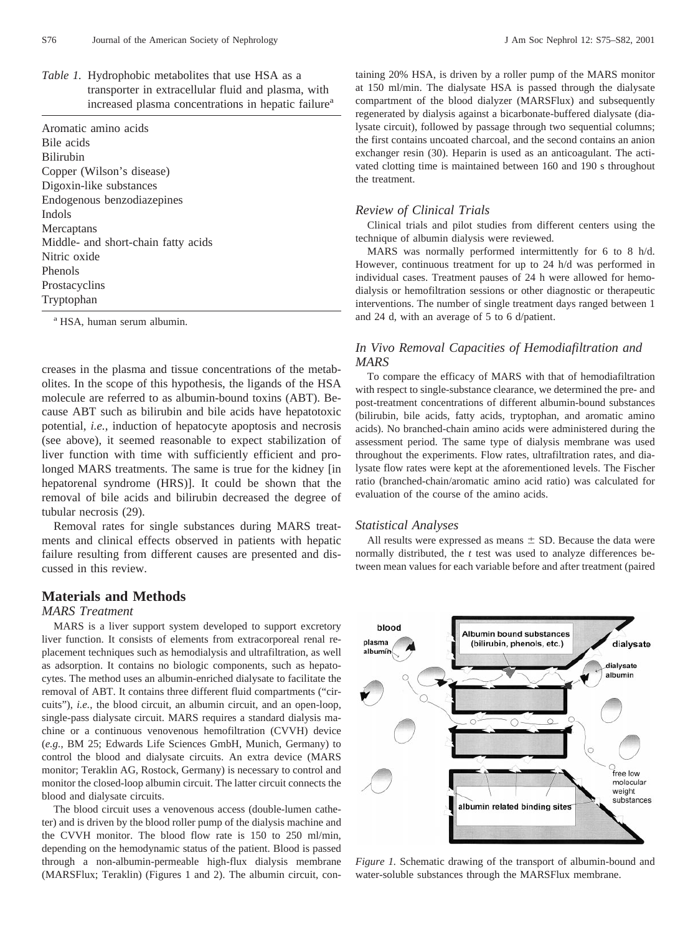| <i>Table 1.</i> Hydrophobic metabolites that use HSA as a       |
|-----------------------------------------------------------------|
| transporter in extracellular fluid and plasma, with             |
| increased plasma concentrations in hepatic failure <sup>a</sup> |

| Aromatic amino acids                |
|-------------------------------------|
| Bile acids                          |
| <b>Bilirubin</b>                    |
| Copper (Wilson's disease)           |
| Digoxin-like substances             |
| Endogenous benzodiazepines          |
| Indols                              |
| Mercaptans                          |
| Middle- and short-chain fatty acids |
| Nitric oxide                        |
| Phenols                             |
| Prostacyclins                       |
| Tryptophan                          |

<sup>a</sup> HSA, human serum albumin.

creases in the plasma and tissue concentrations of the metabolites. In the scope of this hypothesis, the ligands of the HSA molecule are referred to as albumin-bound toxins (ABT). Because ABT such as bilirubin and bile acids have hepatotoxic potential, *i.e.*, induction of hepatocyte apoptosis and necrosis (see above), it seemed reasonable to expect stabilization of liver function with time with sufficiently efficient and prolonged MARS treatments. The same is true for the kidney [in hepatorenal syndrome (HRS)]. It could be shown that the removal of bile acids and bilirubin decreased the degree of tubular necrosis (29).

Removal rates for single substances during MARS treatments and clinical effects observed in patients with hepatic failure resulting from different causes are presented and discussed in this review.

# **Materials and Methods**

# *MARS Treatment*

MARS is a liver support system developed to support excretory liver function. It consists of elements from extracorporeal renal replacement techniques such as hemodialysis and ultrafiltration, as well as adsorption. It contains no biologic components, such as hepatocytes. The method uses an albumin-enriched dialysate to facilitate the removal of ABT. It contains three different fluid compartments ("circuits"), *i.e.*, the blood circuit, an albumin circuit, and an open-loop, single-pass dialysate circuit. MARS requires a standard dialysis machine or a continuous venovenous hemofiltration (CVVH) device (*e.g.*, BM 25; Edwards Life Sciences GmbH, Munich, Germany) to control the blood and dialysate circuits. An extra device (MARS monitor; Teraklin AG, Rostock, Germany) is necessary to control and monitor the closed-loop albumin circuit. The latter circuit connects the blood and dialysate circuits.

The blood circuit uses a venovenous access (double-lumen catheter) and is driven by the blood roller pump of the dialysis machine and the CVVH monitor. The blood flow rate is 150 to 250 ml/min, depending on the hemodynamic status of the patient. Blood is passed through a non-albumin-permeable high-flux dialysis membrane (MARSFlux; Teraklin) (Figures 1 and 2). The albumin circuit, containing 20% HSA, is driven by a roller pump of the MARS monitor at 150 ml/min. The dialysate HSA is passed through the dialysate compartment of the blood dialyzer (MARSFlux) and subsequently regenerated by dialysis against a bicarbonate-buffered dialysate (dialysate circuit), followed by passage through two sequential columns; the first contains uncoated charcoal, and the second contains an anion exchanger resin (30). Heparin is used as an anticoagulant. The activated clotting time is maintained between 160 and 190 s throughout the treatment.

## *Review of Clinical Trials*

Clinical trials and pilot studies from different centers using the technique of albumin dialysis were reviewed.

MARS was normally performed intermittently for 6 to 8 h/d. However, continuous treatment for up to 24 h/d was performed in individual cases. Treatment pauses of 24 h were allowed for hemodialysis or hemofiltration sessions or other diagnostic or therapeutic interventions. The number of single treatment days ranged between 1 and 24 d, with an average of 5 to 6 d/patient.

# *In Vivo Removal Capacities of Hemodiafiltration and MARS*

To compare the efficacy of MARS with that of hemodiafiltration with respect to single-substance clearance, we determined the pre- and post-treatment concentrations of different albumin-bound substances (bilirubin, bile acids, fatty acids, tryptophan, and aromatic amino acids). No branched-chain amino acids were administered during the assessment period. The same type of dialysis membrane was used throughout the experiments. Flow rates, ultrafiltration rates, and dialysate flow rates were kept at the aforementioned levels. The Fischer ratio (branched-chain/aromatic amino acid ratio) was calculated for evaluation of the course of the amino acids.

### *Statistical Analyses*

All results were expressed as means  $\pm$  SD. Because the data were normally distributed, the *t* test was used to analyze differences between mean values for each variable before and after treatment (paired



*Figure 1.* Schematic drawing of the transport of albumin-bound and water-soluble substances through the MARSFlux membrane.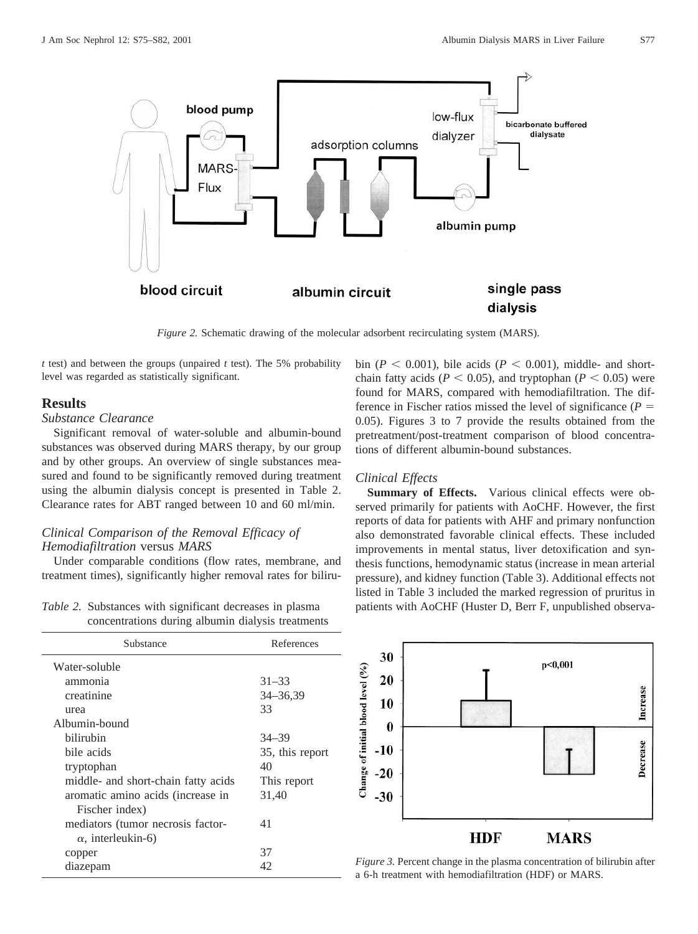

*Figure 2.* Schematic drawing of the molecular adsorbent recirculating system (MARS).

*t* test) and between the groups (unpaired *t* test). The 5% probability level was regarded as statistically significant.

# **Results**

# *Substance Clearance*

Significant removal of water-soluble and albumin-bound substances was observed during MARS therapy, by our group and by other groups. An overview of single substances measured and found to be significantly removed during treatment using the albumin dialysis concept is presented in Table 2. Clearance rates for ABT ranged between 10 and 60 ml/min.

# *Clinical Comparison of the Removal Efficacy of Hemodiafiltration* versus *MARS*

Under comparable conditions (flow rates, membrane, and treatment times), significantly higher removal rates for biliru-

*Table 2.* Substances with significant decreases in plasma concentrations during albumin dialysis treatments

| Substance                           | References      |
|-------------------------------------|-----------------|
| Water-soluble                       |                 |
| ammonia                             | $31 - 33$       |
| creatinine                          | $34 - 36,39$    |
| urea                                | 33              |
| Albumin-bound                       |                 |
| bilirubin                           | $34 - 39$       |
| bile acids                          | 35, this report |
| tryptophan                          | 40              |
| middle- and short-chain fatty acids | This report     |
| aromatic amino acids (increase in   | 31,40           |
| Fischer index)                      |                 |
| mediators (tumor necrosis factor-   | 41              |
| $\alpha$ , interleukin-6)           |                 |
| copper                              | 37              |
| diazepam                            | 42              |

bin ( $P < 0.001$ ), bile acids ( $P < 0.001$ ), middle- and shortchain fatty acids ( $P < 0.05$ ), and tryptophan ( $P < 0.05$ ) were found for MARS, compared with hemodiafiltration. The difference in Fischer ratios missed the level of significance  $(P =$ 0.05). Figures 3 to 7 provide the results obtained from the pretreatment/post-treatment comparison of blood concentrations of different albumin-bound substances.

## *Clinical Effects*

**Summary of Effects.** Various clinical effects were observed primarily for patients with AoCHF. However, the first reports of data for patients with AHF and primary nonfunction also demonstrated favorable clinical effects. These included improvements in mental status, liver detoxification and synthesis functions, hemodynamic status (increase in mean arterial pressure), and kidney function (Table 3). Additional effects not listed in Table 3 included the marked regression of pruritus in patients with AoCHF (Huster D, Berr F, unpublished observa-



*Figure 3.* Percent change in the plasma concentration of bilirubin after a 6-h treatment with hemodiafiltration (HDF) or MARS.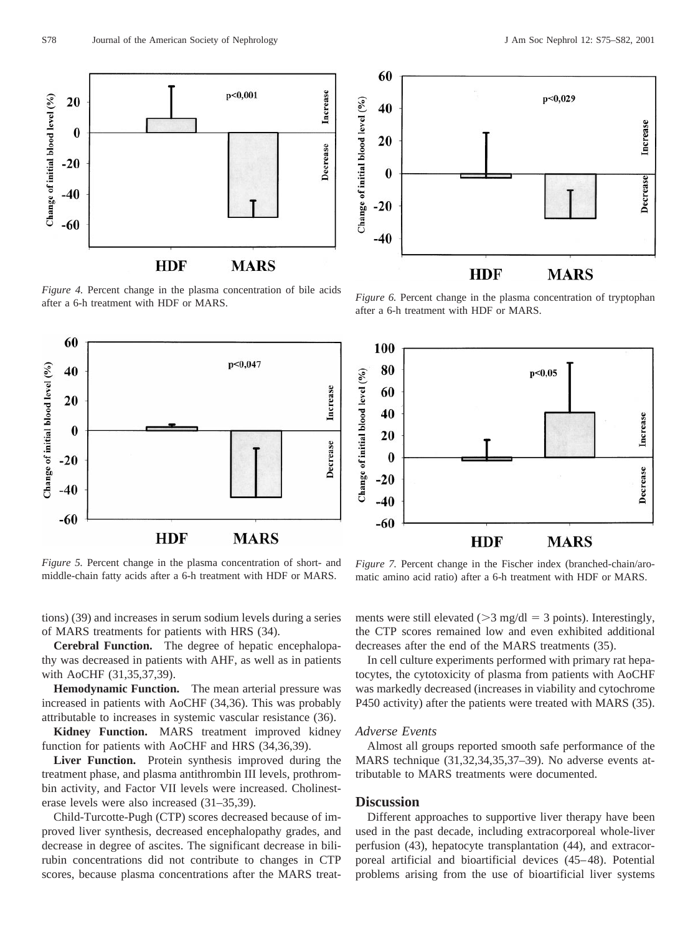

*Figure 4.* Percent change in the plasma concentration of bile acids after a 6-h treatment with HDF or MARS.



*Figure 5.* Percent change in the plasma concentration of short- and middle-chain fatty acids after a 6-h treatment with HDF or MARS.

tions) (39) and increases in serum sodium levels during a series of MARS treatments for patients with HRS (34).

**Cerebral Function.** The degree of hepatic encephalopathy was decreased in patients with AHF, as well as in patients with AoCHF (31,35,37,39).

**Hemodynamic Function.** The mean arterial pressure was increased in patients with AoCHF (34,36). This was probably attributable to increases in systemic vascular resistance (36).

**Kidney Function.** MARS treatment improved kidney function for patients with AoCHF and HRS (34,36,39).

**Liver Function.** Protein synthesis improved during the treatment phase, and plasma antithrombin III levels, prothrombin activity, and Factor VII levels were increased. Cholinesterase levels were also increased (31–35,39).

Child-Turcotte-Pugh (CTP) scores decreased because of improved liver synthesis, decreased encephalopathy grades, and decrease in degree of ascites. The significant decrease in bilirubin concentrations did not contribute to changes in CTP scores, because plasma concentrations after the MARS treat-



*Figure 6.* Percent change in the plasma concentration of tryptophan after a 6-h treatment with HDF or MARS.



*Figure 7.* Percent change in the Fischer index (branched-chain/aromatic amino acid ratio) after a 6-h treatment with HDF or MARS.

ments were still elevated ( $>3$  mg/dl = 3 points). Interestingly, the CTP scores remained low and even exhibited additional decreases after the end of the MARS treatments (35).

In cell culture experiments performed with primary rat hepatocytes, the cytotoxicity of plasma from patients with AoCHF was markedly decreased (increases in viability and cytochrome P450 activity) after the patients were treated with MARS (35).

#### *Adverse Events*

Almost all groups reported smooth safe performance of the MARS technique (31,32,34,35,37–39). No adverse events attributable to MARS treatments were documented.

## **Discussion**

Different approaches to supportive liver therapy have been used in the past decade, including extracorporeal whole-liver perfusion (43), hepatocyte transplantation (44), and extracorporeal artificial and bioartificial devices (45–48). Potential problems arising from the use of bioartificial liver systems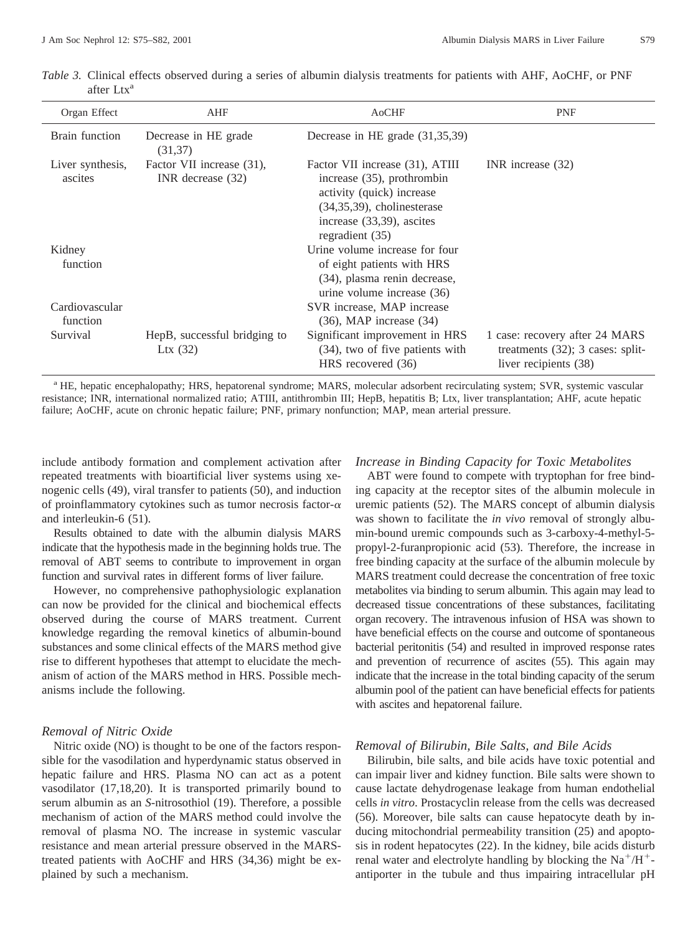| Organ Effect                | AHF                                              | AoCHF                                                                                                                                                                            | <b>PNF</b>                                                                                     |
|-----------------------------|--------------------------------------------------|----------------------------------------------------------------------------------------------------------------------------------------------------------------------------------|------------------------------------------------------------------------------------------------|
| Brain function              | Decrease in HE grade<br>(31,37)                  | Decrease in HE grade $(31,35,39)$                                                                                                                                                |                                                                                                |
| Liver synthesis,<br>ascites | Factor VII increase (31),<br>INR decrease $(32)$ | Factor VII increase (31), ATIII<br>increase $(35)$ , prothrombin<br>activity (quick) increase<br>$(34,35,39)$ , cholinesterase<br>increase (33,39), ascites<br>regradient $(35)$ | INR increase $(32)$                                                                            |
| Kidney<br>function          |                                                  | Urine volume increase for four<br>of eight patients with HRS<br>(34), plasma renin decrease,<br>urine volume increase (36)                                                       |                                                                                                |
| Cardiovascular<br>function  |                                                  | SVR increase, MAP increase<br>$(36)$ , MAP increase $(34)$                                                                                                                       |                                                                                                |
| Survival                    | HepB, successful bridging to<br>Ltx $(32)$       | Significant improvement in HRS<br>(34), two of five patients with<br>HRS recovered (36)                                                                                          | 1 case: recovery after 24 MARS<br>treatments $(32)$ ; 3 cases: split-<br>liver recipients (38) |

*Table 3.* Clinical effects observed during a series of albumin dialysis treatments for patients with AHF, AoCHF, or PNF after Ltx<sup>a</sup>

<sup>a</sup> HE, hepatic encephalopathy; HRS, hepatorenal syndrome; MARS, molecular adsorbent recirculating system; SVR, systemic vascular resistance; INR, international normalized ratio; ATIII, antithrombin III; HepB, hepatitis B; Ltx, liver transplantation; AHF, acute hepatic failure; AoCHF, acute on chronic hepatic failure; PNF, primary nonfunction; MAP, mean arterial pressure.

include antibody formation and complement activation after repeated treatments with bioartificial liver systems using xenogenic cells (49), viral transfer to patients (50), and induction of proinflammatory cytokines such as tumor necrosis factor- $\alpha$ and interleukin-6 (51).

Results obtained to date with the albumin dialysis MARS indicate that the hypothesis made in the beginning holds true. The removal of ABT seems to contribute to improvement in organ function and survival rates in different forms of liver failure.

However, no comprehensive pathophysiologic explanation can now be provided for the clinical and biochemical effects observed during the course of MARS treatment. Current knowledge regarding the removal kinetics of albumin-bound substances and some clinical effects of the MARS method give rise to different hypotheses that attempt to elucidate the mechanism of action of the MARS method in HRS. Possible mechanisms include the following.

## *Removal of Nitric Oxide*

Nitric oxide (NO) is thought to be one of the factors responsible for the vasodilation and hyperdynamic status observed in hepatic failure and HRS. Plasma NO can act as a potent vasodilator (17,18,20). It is transported primarily bound to serum albumin as an *S*-nitrosothiol (19). Therefore, a possible mechanism of action of the MARS method could involve the removal of plasma NO. The increase in systemic vascular resistance and mean arterial pressure observed in the MARStreated patients with AoCHF and HRS (34,36) might be explained by such a mechanism.

### *Increase in Binding Capacity for Toxic Metabolites*

ABT were found to compete with tryptophan for free binding capacity at the receptor sites of the albumin molecule in uremic patients (52). The MARS concept of albumin dialysis was shown to facilitate the *in vivo* removal of strongly albumin-bound uremic compounds such as 3-carboxy-4-methyl-5 propyl-2-furanpropionic acid (53). Therefore, the increase in free binding capacity at the surface of the albumin molecule by MARS treatment could decrease the concentration of free toxic metabolites via binding to serum albumin. This again may lead to decreased tissue concentrations of these substances, facilitating organ recovery. The intravenous infusion of HSA was shown to have beneficial effects on the course and outcome of spontaneous bacterial peritonitis (54) and resulted in improved response rates and prevention of recurrence of ascites (55). This again may indicate that the increase in the total binding capacity of the serum albumin pool of the patient can have beneficial effects for patients with ascites and hepatorenal failure.

## *Removal of Bilirubin, Bile Salts, and Bile Acids*

Bilirubin, bile salts, and bile acids have toxic potential and can impair liver and kidney function. Bile salts were shown to cause lactate dehydrogenase leakage from human endothelial cells *in vitro*. Prostacyclin release from the cells was decreased (56). Moreover, bile salts can cause hepatocyte death by inducing mitochondrial permeability transition (25) and apoptosis in rodent hepatocytes (22). In the kidney, bile acids disturb renal water and electrolyte handling by blocking the  $Na^+/H^+$ antiporter in the tubule and thus impairing intracellular pH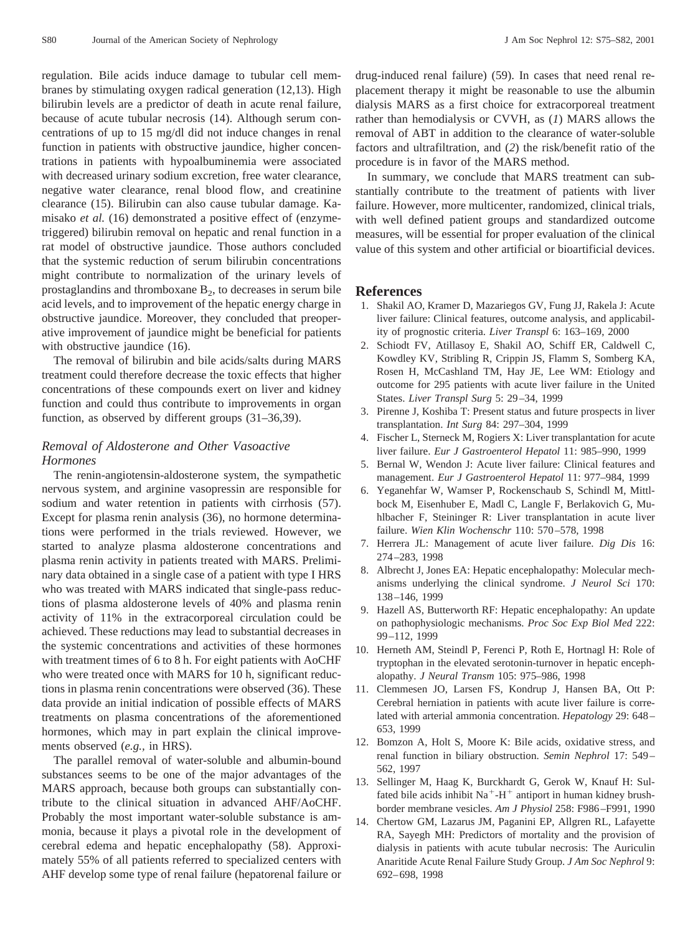regulation. Bile acids induce damage to tubular cell membranes by stimulating oxygen radical generation (12,13). High bilirubin levels are a predictor of death in acute renal failure, because of acute tubular necrosis (14). Although serum concentrations of up to 15 mg/dl did not induce changes in renal function in patients with obstructive jaundice, higher concentrations in patients with hypoalbuminemia were associated with decreased urinary sodium excretion, free water clearance, negative water clearance, renal blood flow, and creatinine clearance (15). Bilirubin can also cause tubular damage. Kamisako *et al.* (16) demonstrated a positive effect of (enzymetriggered) bilirubin removal on hepatic and renal function in a rat model of obstructive jaundice. Those authors concluded that the systemic reduction of serum bilirubin concentrations might contribute to normalization of the urinary levels of prostaglandins and thromboxane  $B_2$ , to decreases in serum bile acid levels, and to improvement of the hepatic energy charge in obstructive jaundice. Moreover, they concluded that preoperative improvement of jaundice might be beneficial for patients with obstructive jaundice (16).

The removal of bilirubin and bile acids/salts during MARS treatment could therefore decrease the toxic effects that higher concentrations of these compounds exert on liver and kidney function and could thus contribute to improvements in organ function, as observed by different groups (31–36,39).

# *Removal of Aldosterone and Other Vasoactive Hormones*

The renin-angiotensin-aldosterone system, the sympathetic nervous system, and arginine vasopressin are responsible for sodium and water retention in patients with cirrhosis (57). Except for plasma renin analysis (36), no hormone determinations were performed in the trials reviewed. However, we started to analyze plasma aldosterone concentrations and plasma renin activity in patients treated with MARS. Preliminary data obtained in a single case of a patient with type I HRS who was treated with MARS indicated that single-pass reductions of plasma aldosterone levels of 40% and plasma renin activity of 11% in the extracorporeal circulation could be achieved. These reductions may lead to substantial decreases in the systemic concentrations and activities of these hormones with treatment times of 6 to 8 h. For eight patients with AoCHF who were treated once with MARS for 10 h, significant reductions in plasma renin concentrations were observed (36). These data provide an initial indication of possible effects of MARS treatments on plasma concentrations of the aforementioned hormones, which may in part explain the clinical improvements observed (*e.g.,* in HRS).

The parallel removal of water-soluble and albumin-bound substances seems to be one of the major advantages of the MARS approach, because both groups can substantially contribute to the clinical situation in advanced AHF/AoCHF. Probably the most important water-soluble substance is ammonia, because it plays a pivotal role in the development of cerebral edema and hepatic encephalopathy (58). Approximately 55% of all patients referred to specialized centers with AHF develop some type of renal failure (hepatorenal failure or drug-induced renal failure) (59). In cases that need renal replacement therapy it might be reasonable to use the albumin dialysis MARS as a first choice for extracorporeal treatment rather than hemodialysis or CVVH, as (*1*) MARS allows the removal of ABT in addition to the clearance of water-soluble factors and ultrafiltration, and (*2*) the risk/benefit ratio of the procedure is in favor of the MARS method.

In summary, we conclude that MARS treatment can substantially contribute to the treatment of patients with liver failure. However, more multicenter, randomized, clinical trials, with well defined patient groups and standardized outcome measures, will be essential for proper evaluation of the clinical value of this system and other artificial or bioartificial devices.

# **References**

- 1. Shakil AO, Kramer D, Mazariegos GV, Fung JJ, Rakela J: Acute liver failure: Clinical features, outcome analysis, and applicability of prognostic criteria. *Liver Transpl* 6: 163–169, 2000
- 2. Schiodt FV, Atillasoy E, Shakil AO, Schiff ER, Caldwell C, Kowdley KV, Stribling R, Crippin JS, Flamm S, Somberg KA, Rosen H, McCashland TM, Hay JE, Lee WM: Etiology and outcome for 295 patients with acute liver failure in the United States. *Liver Transpl Surg* 5: 29–34, 1999
- 3. Pirenne J, Koshiba T: Present status and future prospects in liver transplantation. *Int Surg* 84: 297–304, 1999
- 4. Fischer L, Sterneck M, Rogiers X: Liver transplantation for acute liver failure. *Eur J Gastroenterol Hepatol* 11: 985–990, 1999
- 5. Bernal W, Wendon J: Acute liver failure: Clinical features and management. *Eur J Gastroenterol Hepatol* 11: 977–984, 1999
- 6. Yeganehfar W, Wamser P, Rockenschaub S, Schindl M, Mittlbock M, Eisenhuber E, Madl C, Langle F, Berlakovich G, Muhlbacher F, Steininger R: Liver transplantation in acute liver failure. *Wien Klin Wochenschr* 110: 570–578, 1998
- 7. Herrera JL: Management of acute liver failure. *Dig Dis* 16: 274–283, 1998
- 8. Albrecht J, Jones EA: Hepatic encephalopathy: Molecular mechanisms underlying the clinical syndrome. *J Neurol Sci* 170: 138–146, 1999
- 9. Hazell AS, Butterworth RF: Hepatic encephalopathy: An update on pathophysiologic mechanisms. *Proc Soc Exp Biol Med* 222: 99–112, 1999
- 10. Herneth AM, Steindl P, Ferenci P, Roth E, Hortnagl H: Role of tryptophan in the elevated serotonin-turnover in hepatic encephalopathy. *J Neural Transm* 105: 975–986, 1998
- 11. Clemmesen JO, Larsen FS, Kondrup J, Hansen BA, Ott P: Cerebral herniation in patients with acute liver failure is correlated with arterial ammonia concentration. *Hepatology* 29: 648– 653, 1999
- 12. Bomzon A, Holt S, Moore K: Bile acids, oxidative stress, and renal function in biliary obstruction. *Semin Nephrol* 17: 549– 562, 1997
- 13. Sellinger M, Haag K, Burckhardt G, Gerok W, Knauf H: Sulfated bile acids inhibit  $Na^+ - H^+$  antiport in human kidney brushborder membrane vesicles. *Am J Physiol* 258: F986–F991, 1990
- 14. Chertow GM, Lazarus JM, Paganini EP, Allgren RL, Lafayette RA, Sayegh MH: Predictors of mortality and the provision of dialysis in patients with acute tubular necrosis: The Auriculin Anaritide Acute Renal Failure Study Group. *J Am Soc Nephrol* 9: 692–698, 1998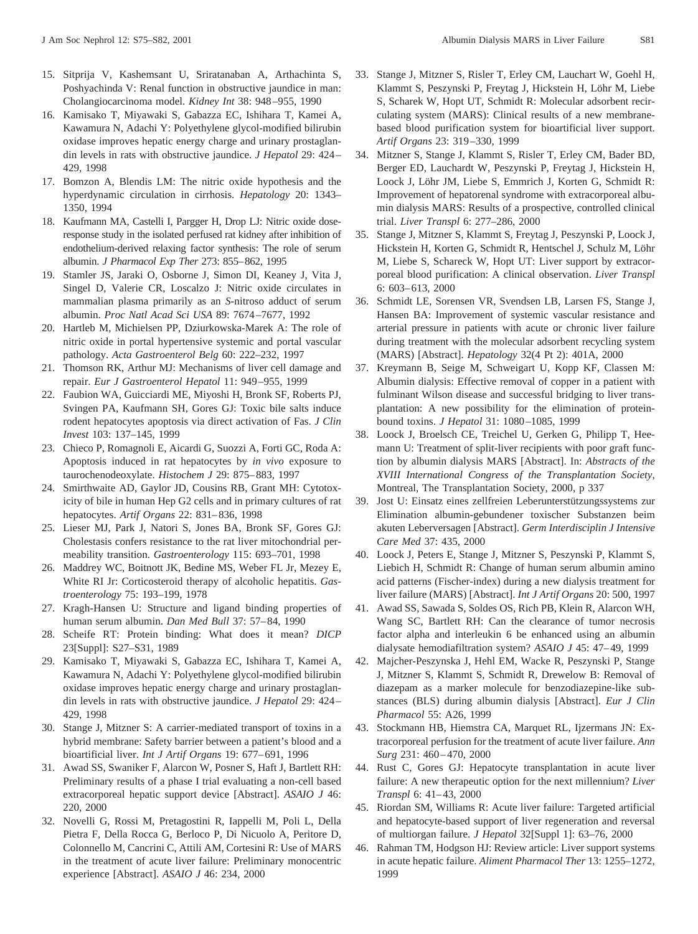- 15. Sitprija V, Kashemsant U, Sriratanaban A, Arthachinta S, Poshyachinda V: Renal function in obstructive jaundice in man: Cholangiocarcinoma model. *Kidney Int* 38: 948–955, 1990
- 16. Kamisako T, Miyawaki S, Gabazza EC, Ishihara T, Kamei A, Kawamura N, Adachi Y: Polyethylene glycol-modified bilirubin oxidase improves hepatic energy charge and urinary prostaglandin levels in rats with obstructive jaundice. *J Hepatol* 29: 424– 429, 1998
- 17. Bomzon A, Blendis LM: The nitric oxide hypothesis and the hyperdynamic circulation in cirrhosis. *Hepatology* 20: 1343– 1350, 1994
- 18. Kaufmann MA, Castelli I, Pargger H, Drop LJ: Nitric oxide doseresponse study in the isolated perfused rat kidney after inhibition of endothelium-derived relaxing factor synthesis: The role of serum albumin. *J Pharmacol Exp Ther* 273: 855–862, 1995
- 19. Stamler JS, Jaraki O, Osborne J, Simon DI, Keaney J, Vita J, Singel D, Valerie CR, Loscalzo J: Nitric oxide circulates in mammalian plasma primarily as an *S*-nitroso adduct of serum albumin. *Proc Natl Acad Sci USA* 89: 7674–7677, 1992
- 20. Hartleb M, Michielsen PP, Dziurkowska-Marek A: The role of nitric oxide in portal hypertensive systemic and portal vascular pathology. *Acta Gastroenterol Belg* 60: 222–232, 1997
- 21. Thomson RK, Arthur MJ: Mechanisms of liver cell damage and repair. *Eur J Gastroenterol Hepatol* 11: 949–955, 1999
- 22. Faubion WA, Guicciardi ME, Miyoshi H, Bronk SF, Roberts PJ, Svingen PA, Kaufmann SH, Gores GJ: Toxic bile salts induce rodent hepatocytes apoptosis via direct activation of Fas. *J Clin Invest* 103: 137–145, 1999
- 23. Chieco P, Romagnoli E, Aicardi G, Suozzi A, Forti GC, Roda A: Apoptosis induced in rat hepatocytes by *in vivo* exposure to taurochenodeoxylate. *Histochem J* 29: 875–883, 1997
- 24. Smirthwaite AD, Gaylor JD, Cousins RB, Grant MH: Cytotoxicity of bile in human Hep G2 cells and in primary cultures of rat hepatocytes. *Artif Organs* 22: 831–836, 1998
- 25. Lieser MJ, Park J, Natori S, Jones BA, Bronk SF, Gores GJ: Cholestasis confers resistance to the rat liver mitochondrial permeability transition. *Gastroenterology* 115: 693–701, 1998
- 26. Maddrey WC, Boitnott JK, Bedine MS, Weber FL Jr, Mezey E, White RI Jr: Corticosteroid therapy of alcoholic hepatitis. *Gastroenterology* 75: 193–199, 1978
- 27. Kragh-Hansen U: Structure and ligand binding properties of human serum albumin. *Dan Med Bull* 37: 57–84, 1990
- 28. Scheife RT: Protein binding: What does it mean? *DICP* 23[Suppl]: S27–S31, 1989
- 29. Kamisako T, Miyawaki S, Gabazza EC, Ishihara T, Kamei A, Kawamura N, Adachi Y: Polyethylene glycol-modified bilirubin oxidase improves hepatic energy charge and urinary prostaglandin levels in rats with obstructive jaundice. *J Hepatol* 29: 424– 429, 1998
- 30. Stange J, Mitzner S: A carrier-mediated transport of toxins in a hybrid membrane: Safety barrier between a patient's blood and a bioartificial liver. *Int J Artif Organs* 19: 677–691, 1996
- 31. Awad SS, Swaniker F, Alarcon W, Posner S, Haft J, Bartlett RH: Preliminary results of a phase I trial evaluating a non-cell based extracorporeal hepatic support device [Abstract]. *ASAIO J* 46: 220, 2000
- 32. Novelli G, Rossi M, Pretagostini R, Iappelli M, Poli L, Della Pietra F, Della Rocca G, Berloco P, Di Nicuolo A, Peritore D, Colonnello M, Cancrini C, Attili AM, Cortesini R: Use of MARS in the treatment of acute liver failure: Preliminary monocentric experience [Abstract]. *ASAIO J* 46: 234, 2000
- 33. Stange J, Mitzner S, Risler T, Erley CM, Lauchart W, Goehl H, Klammt S, Peszynski P, Freytag J, Hickstein H, Löhr M, Liebe S, Scharek W, Hopt UT, Schmidt R: Molecular adsorbent recirculating system (MARS): Clinical results of a new membranebased blood purification system for bioartificial liver support. *Artif Organs* 23: 319–330, 1999
- 34. Mitzner S, Stange J, Klammt S, Risler T, Erley CM, Bader BD, Berger ED, Lauchardt W, Peszynski P, Freytag J, Hickstein H, Loock J, Löhr JM, Liebe S, Emmrich J, Korten G, Schmidt R: Improvement of hepatorenal syndrome with extracorporeal albumin dialysis MARS: Results of a prospective, controlled clinical trial. *Liver Transpl* 6: 277–286, 2000
- 35. Stange J, Mitzner S, Klammt S, Freytag J, Peszynski P, Loock J, Hickstein H, Korten G, Schmidt R, Hentschel J, Schulz M, Löhr M, Liebe S, Schareck W, Hopt UT: Liver support by extracorporeal blood purification: A clinical observation. *Liver Transpl* 6: 603–613, 2000
- 36. Schmidt LE, Sorensen VR, Svendsen LB, Larsen FS, Stange J, Hansen BA: Improvement of systemic vascular resistance and arterial pressure in patients with acute or chronic liver failure during treatment with the molecular adsorbent recycling system (MARS) [Abstract]. *Hepatology* 32(4 Pt 2): 401A, 2000
- 37. Kreymann B, Seige M, Schweigart U, Kopp KF, Classen M: Albumin dialysis: Effective removal of copper in a patient with fulminant Wilson disease and successful bridging to liver transplantation: A new possibility for the elimination of proteinbound toxins. *J Hepatol* 31: 1080–1085, 1999
- 38. Loock J, Broelsch CE, Treichel U, Gerken G, Philipp T, Heemann U: Treatment of split-liver recipients with poor graft function by albumin dialysis MARS [Abstract]. In: *Abstracts of the XVIII International Congress of the Transplantation Society*, Montreal, The Transplantation Society, 2000, p 337
- 39. Jost U: Einsatz eines zellfreien Leberunterstützungssystems zur Elimination albumin-gebundener toxischer Substanzen beim akuten Leberversagen [Abstract]. *Germ Interdisciplin J Intensive Care Med* 37: 435, 2000
- 40. Loock J, Peters E, Stange J, Mitzner S, Peszynski P, Klammt S, Liebich H, Schmidt R: Change of human serum albumin amino acid patterns (Fischer-index) during a new dialysis treatment for liver failure (MARS) [Abstract]. *Int J Artif Organs* 20: 500, 1997
- 41. Awad SS, Sawada S, Soldes OS, Rich PB, Klein R, Alarcon WH, Wang SC, Bartlett RH: Can the clearance of tumor necrosis factor alpha and interleukin 6 be enhanced using an albumin dialysate hemodiafiltration system? *ASAIO J* 45: 47–49, 1999
- 42. Majcher-Peszynska J, Hehl EM, Wacke R, Peszynski P, Stange J, Mitzner S, Klammt S, Schmidt R, Drewelow B: Removal of diazepam as a marker molecule for benzodiazepine-like substances (BLS) during albumin dialysis [Abstract]. *Eur J Clin Pharmacol* 55: A26, 1999
- 43. Stockmann HB, Hiemstra CA, Marquet RL, Ijzermans JN: Extracorporeal perfusion for the treatment of acute liver failure. *Ann Surg* 231: 460–470, 2000
- 44. Rust C, Gores GJ: Hepatocyte transplantation in acute liver failure: A new therapeutic option for the next millennium? *Liver Transpl* 6: 41–43, 2000
- 45. Riordan SM, Williams R: Acute liver failure: Targeted artificial and hepatocyte-based support of liver regeneration and reversal of multiorgan failure. *J Hepatol* 32[Suppl 1]: 63–76, 2000
- 46. Rahman TM, Hodgson HJ: Review article: Liver support systems in acute hepatic failure. *Aliment Pharmacol Ther* 13: 1255–1272, 1999